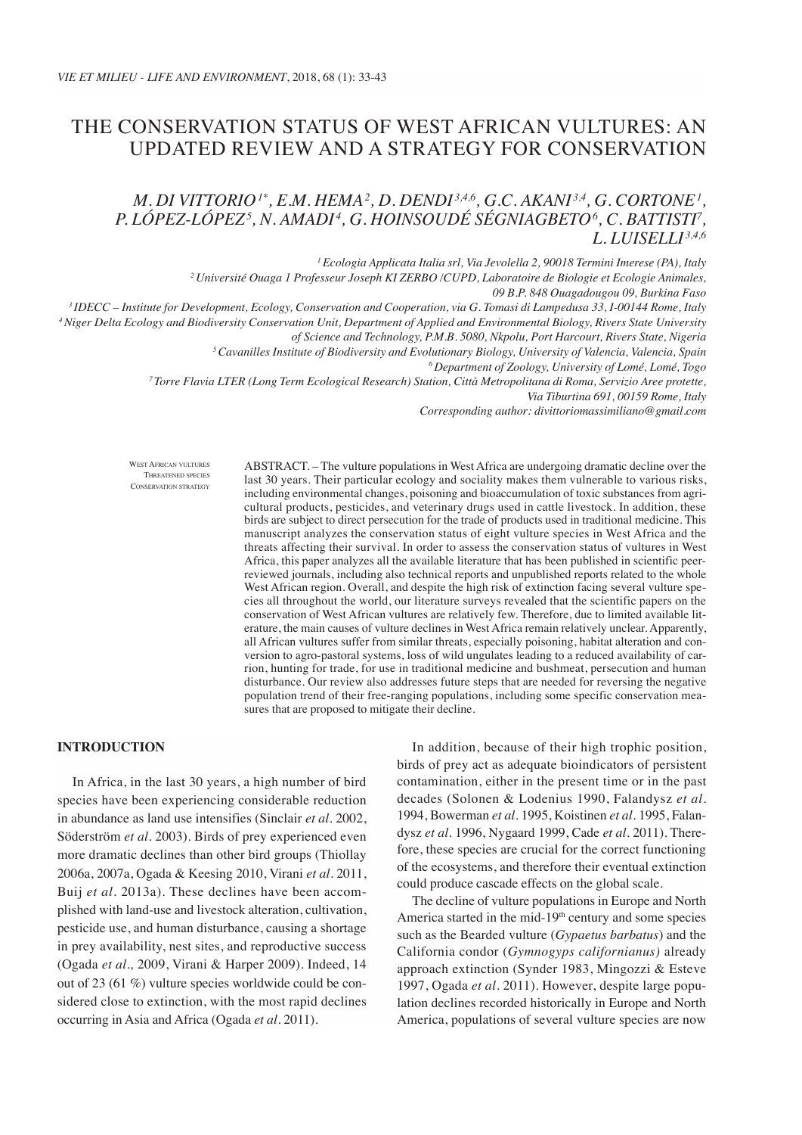# The conservation status of West African vultures: an updated review and a strategy for conservation

# *M. DI VITTORIO* <sup>1\*</sup>, *E.M. HEMA* <sup>2</sup>, *D. DENDI* <sup>3,4,6</sup>, *G.C. AKANI* <sup>3,4</sup>, *G. CORTONE* <sup>1</sup>, *P. López-López5 , N. Amadi <sup>4</sup> , G. Hoinsoudé Ségniagbeto6 , C. Battisti7 , L. Luiselli 3,4,6*

*1 Ecologia Applicata Italia srl, Via Jevolella 2, 90018 Termini Imerese (PA), Italy 2 Université Ouaga 1 Professeur Joseph KI ZERBO /CUPD, Laboratoire de Biologie et Ecologie Animales,* 

09 B.P. 848 Ouagadougou 09, Burkina Faso<br>IDECC – Institute for Development, Ecology, Conservation and Cooperation, via G. Tomasi di Lampedusa 33, I-00144 Rome, Italy <sup>3</sup><br>Niger Delta Ecology and Biodiversity Conservation Un

*of Science and Technology, P.M.B. 5080, Nkpolu, Port Harcourt, Rivers State, Nigeria*

*5 Cavanilles Institute of Biodiversity and Evolutionary Biology, University of Valencia, Valencia, Spain*

*6 Department of Zoology, University of Lomé, Lomé, Togo*

*7 Torre Flavia LTER (Long Term Ecological Research) Station, Città Metropolitana di Roma, Servizio Aree protette,* 

*Via Tiburtina 691, 00159 Rome, Italy*

*Corresponding author: divittoriomassimiliano@gmail.com*

West African vultures Threatened species Conservation strategy ABSTRACT. – The vulture populations in West Africa are undergoing dramatic decline over the last 30 years. Their particular ecology and sociality makes them vulnerable to various risks, including environmental changes, poisoning and bioaccumulation of toxic substances from agricultural products, pesticides, and veterinary drugs used in cattle livestock. In addition, these birds are subject to direct persecution for the trade of products used in traditional medicine. This manuscript analyzes the conservation status of eight vulture species in West Africa and the threats affecting their survival. In order to assess the conservation status of vultures in West Africa, this paper analyzes all the available literature that has been published in scientific peerreviewed journals, including also technical reports and unpublished reports related to the whole West African region. Overall, and despite the high risk of extinction facing several vulture species all throughout the world, our literature surveys revealed that the scientific papers on the conservation of West African vultures are relatively few. Therefore, due to limited available literature, the main causes of vulture declines in West Africa remain relatively unclear. Apparently, all African vultures suffer from similar threats, especially poisoning, habitat alteration and conversion to agro-pastoral systems, loss of wild ungulates leading to a reduced availability of carrion, hunting for trade, for use in traditional medicine and bushmeat, persecution and human disturbance. Our review also addresses future steps that are needed for reversing the negative population trend of their free-ranging populations, including some specific conservation measures that are proposed to mitigate their decline.

# **INTRODUCTION**

In Africa, in the last 30 years, a high number of bird species have been experiencing considerable reduction in abundance as land use intensifies (Sinclair *et al.* 2002, Söderström *et al.* 2003). Birds of prey experienced even more dramatic declines than other bird groups (Thiollay 2006a, 2007a, Ogada & Keesing 2010, Virani *et al.* 2011, Buij *et al.* 2013a). These declines have been accomplished with land-use and livestock alteration, cultivation, pesticide use, and human disturbance, causing a shortage in prey availability, nest sites, and reproductive success (Ogada *et al.,* 2009, Virani & Harper 2009). Indeed, 14 out of 23 (61 %) vulture species worldwide could be considered close to extinction, with the most rapid declines occurring in Asia and Africa (Ogada *et al.* 2011).

In addition, because of their high trophic position, birds of prey act as adequate bioindicators of persistent contamination, either in the present time or in the past decades (Solonen & Lodenius 1990, Falandysz *et al.*  1994, Bowerman *et al.* 1995, Koistinen *et al.* 1995, Falandysz *et al.* 1996, Nygaard 1999, Cade *et al.* 2011). Therefore, these species are crucial for the correct functioning of the ecosystems, and therefore their eventual extinction could produce cascade effects on the global scale.

The decline of vulture populations in Europe and North America started in the mid- $19<sup>th</sup>$  century and some species such as the Bearded vulture (*Gypaetus barbatus*) and the California condor (*Gymnogyps californianus)* already approach extinction (Synder 1983, Mingozzi & Esteve 1997, Ogada *et al.* 2011). However, despite large population declines recorded historically in Europe and North America, populations of several vulture species are now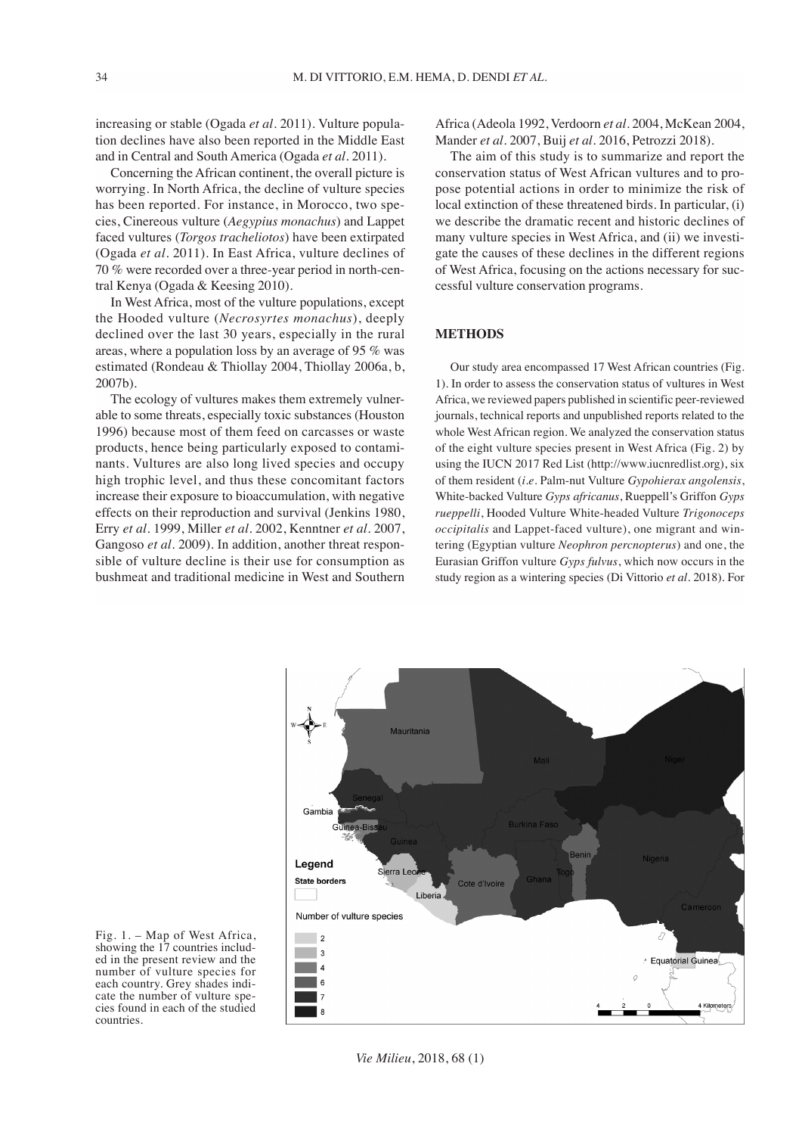increasing or stable (Ogada *et al.* 2011). Vulture population declines have also been reported in the Middle East and in Central and South America (Ogada *et al.* 2011).

Concerning the African continent, the overall picture is worrying. In North Africa, the decline of vulture species has been reported. For instance, in Morocco, two species, Cinereous vulture (*Aegypius monachus*) and Lappet faced vultures (*Torgos tracheliotos*) have been extirpated (Ogada *et al.* 2011). In East Africa, vulture declines of 70 % were recorded over a three-year period in north-central Kenya (Ogada & Keesing 2010).

In West Africa, most of the vulture populations, except the Hooded vulture (*Necrosyrtes monachus*), deeply declined over the last 30 years, especially in the rural areas, where a population loss by an average of 95 % was estimated (Rondeau & Thiollay 2004, Thiollay 2006a, b, 2007b).

The ecology of vultures makes them extremely vulnerable to some threats, especially toxic substances (Houston 1996) because most of them feed on carcasses or waste products, hence being particularly exposed to contaminants. Vultures are also long lived species and occupy high trophic level, and thus these concomitant factors increase their exposure to bioaccumulation, with negative effects on their reproduction and survival (Jenkins 1980, Erry *et al.* 1999, Miller *et al.* 2002, Kenntner *et al.* 2007, Gangoso *et al.* 2009). In addition, another threat responsible of vulture decline is their use for consumption as bushmeat and traditional medicine in West and Southern Africa (Adeola 1992, Verdoorn *et al*. 2004, McKean 2004, Mander *et al.* 2007, Buij *et al.* 2016, Petrozzi 2018).

The aim of this study is to summarize and report the conservation status of West African vultures and to propose potential actions in order to minimize the risk of local extinction of these threatened birds. In particular, (i) we describe the dramatic recent and historic declines of many vulture species in West Africa, and (ii) we investigate the causes of these declines in the different regions of West Africa, focusing on the actions necessary for successful vulture conservation programs.

## **METHODS**

Our study area encompassed 17 West African countries (Fig. 1). In order to assess the conservation status of vultures in West Africa, we reviewed papers published in scientific peer-reviewed journals, technical reports and unpublished reports related to the whole West African region. We analyzed the conservation status of the eight vulture species present in West Africa (Fig. 2) by using the IUCN 2017 Red List (http://www.iucnredlist.org), six of them resident (*i.e.* Palm-nut Vulture *Gypohierax angolensis*, White-backed Vulture *Gyps africanus*, Rueppell's Griffon *Gyps rueppelli*, Hooded Vulture White-headed Vulture *Trigonoceps occipitalis* and Lappet-faced vulture), one migrant and wintering (Egyptian vulture *Neophron percnopterus*) and one, the Eurasian Griffon vulture *Gyps fulvus*, which now occurs in the study region as a wintering species (Di Vittorio *et al.* 2018). For



Fig. 1. – Map of West Africa, showing the 17 countries included in the present review and the number of vulture species for each country. Grey shades indicate the number of vulture species found in each of the studied countries.

*Vie Milieu*, 2018, 68 (1)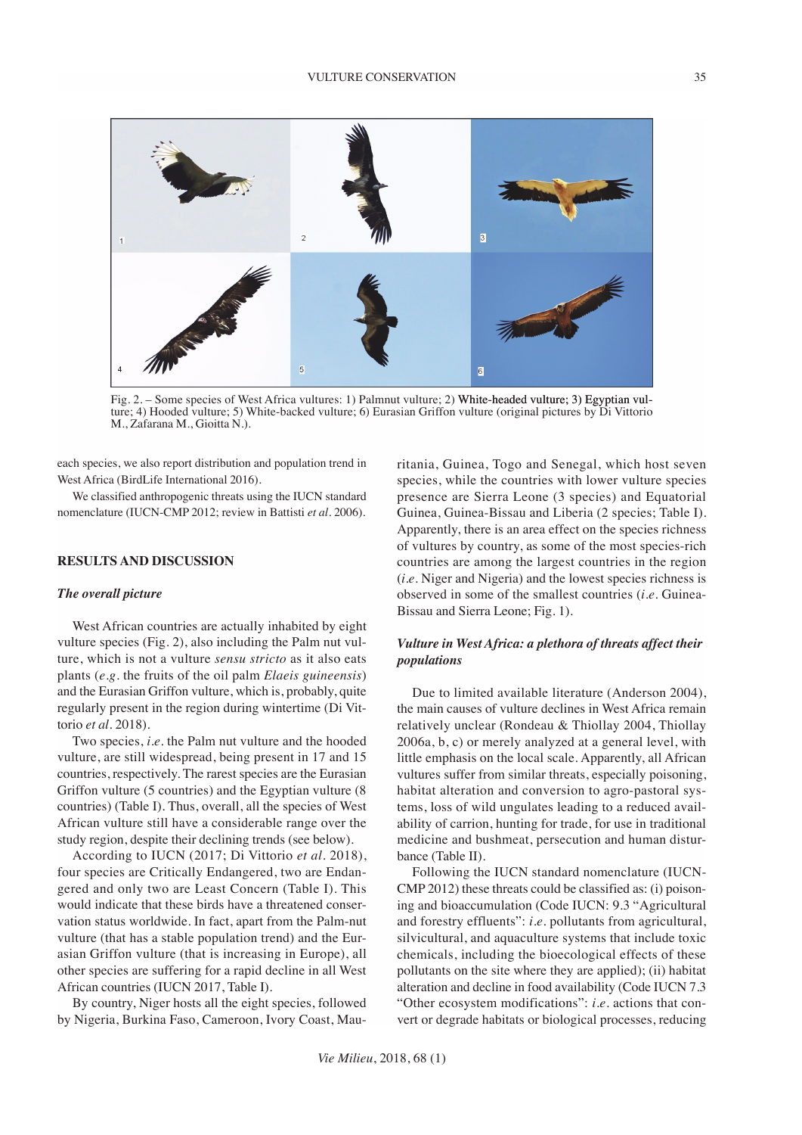

Fig. 2. – Some species of West Africa vultures: 1) Palmnut vulture; 2) White-headed vulture; 3) Egyptian vulture; 4) Hooded vulture; 5) White-backed vulture; 6) Eurasian Griffon vulture (original pictures by Di Vittorio M., Zafarana M., Gioitta N.).

each species, we also report distribution and population trend in West Africa (BirdLife International 2016).

We classified anthropogenic threats using the IUCN standard nomenclature (IUCN-CMP 2012; review in Battisti *et al.* 2006).

#### **RESULTS AND DISCUSSION**

#### *The overall picture*

West African countries are actually inhabited by eight vulture species (Fig. 2), also including the Palm nut vulture, which is not a vulture *sensu stricto* as it also eats plants (*e.g.* the fruits of the oil palm *Elaeis guineensis*) and the Eurasian Griffon vulture, which is, probably, quite regularly present in the region during wintertime (Di Vittorio *et al.* 2018).

Two species, *i.e.* the Palm nut vulture and the hooded vulture, are still widespread, being present in 17 and 15 countries, respectively. The rarest species are the Eurasian Griffon vulture (5 countries) and the Egyptian vulture (8 countries) (Table I). Thus, overall, all the species of West African vulture still have a considerable range over the study region, despite their declining trends (see below).

According to IUCN (2017; Di Vittorio *et al.* 2018), four species are Critically Endangered, two are Endangered and only two are Least Concern (Table I). This would indicate that these birds have a threatened conservation status worldwide. In fact, apart from the Palm-nut vulture (that has a stable population trend) and the Eurasian Griffon vulture (that is increasing in Europe), all other species are suffering for a rapid decline in all West African countries (IUCN 2017, Table I).

By country, Niger hosts all the eight species, followed by Nigeria, Burkina Faso, Cameroon, Ivory Coast, Mauritania, Guinea, Togo and Senegal, which host seven species, while the countries with lower vulture species presence are Sierra Leone (3 species) and Equatorial Guinea, Guinea-Bissau and Liberia (2 species; Table I). Apparently, there is an area effect on the species richness of vultures by country, as some of the most species-rich countries are among the largest countries in the region (*i.e.* Niger and Nigeria) and the lowest species richness is observed in some of the smallest countries (*i.e.* Guinea-Bissau and Sierra Leone; Fig. 1).

# *Vulture in West Africa: a plethora of threats affect their populations*

Due to limited available literature (Anderson 2004), the main causes of vulture declines in West Africa remain relatively unclear (Rondeau & Thiollay 2004, Thiollay 2006a, b, c) or merely analyzed at a general level, with little emphasis on the local scale. Apparently, all African vultures suffer from similar threats, especially poisoning, habitat alteration and conversion to agro-pastoral systems, loss of wild ungulates leading to a reduced availability of carrion, hunting for trade, for use in traditional medicine and bushmeat, persecution and human disturbance (Table II).

Following the IUCN standard nomenclature (IUCN-CMP 2012) these threats could be classified as: (i) poisoning and bioaccumulation (Code IUCN: 9.3 "Agricultural and forestry effluents": *i.e.* pollutants from agricultural, silvicultural, and aquaculture systems that include toxic chemicals, including the bioecological effects of these pollutants on the site where they are applied); (ii) habitat alteration and decline in food availability (Code IUCN 7.3 "Other ecosystem modifications": *i.e.* actions that convert or degrade habitats or biological processes, reducing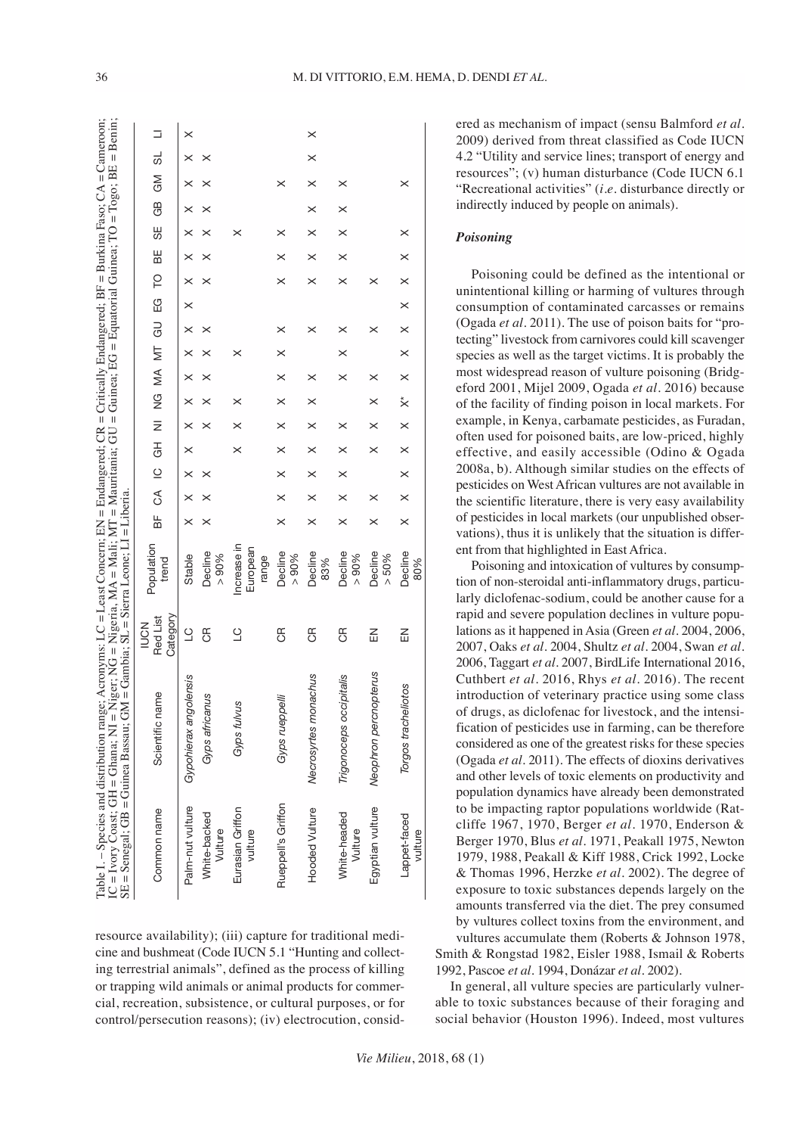| $\overline{\phantom{a}}$<br>I                                                                 | $\overline{\phantom{a}}$<br>l<br>ļ<br>I<br>l<br>l<br>l                                |                                    |
|-----------------------------------------------------------------------------------------------|---------------------------------------------------------------------------------------|------------------------------------|
| l<br>l                                                                                        | ĺ<br>l                                                                                |                                    |
| ֧֧֧֧֧֪֧֪֧֧֧֚֚֚֚֚֚֚֚֚֚֚֚֚֚֚֚֚֡֝֝֝֓֕֝֬֝֓֝֬֝֬֝֟֓֝֬֝֓֝֬֝֬֝֬֝֓֝֬֝֬֝֬֝֬<br>$\overline{\phantom{a}}$ | $\overline{a}$<br>$\overline{\phantom{a}}$<br>l<br>I<br>l<br>$\overline{\phantom{a}}$ |                                    |
| ļ<br>l                                                                                        | l<br>l                                                                                | l<br>l                             |
| l<br>l                                                                                        | l<br>l<br>ļ<br>l                                                                      | l<br>I                             |
|                                                                                               | l<br>l                                                                                | I<br>$\overline{\phantom{a}}$<br>l |
| $\overline{\phantom{a}}$                                                                      | l<br>l                                                                                | l<br>$\overline{\phantom{a}}$      |
|                                                                                               | l<br>I                                                                                | l<br>I<br>ı<br>l                   |

|                             | SE = Senegal; GB = Guinea Bassau; GM = Gambia; SL = Sierra Leone; LI = Liberia |                                    |                                  |          |          |                |               |               |                        |          |          |          |          |          |          |          |          |          |          |          |
|-----------------------------|--------------------------------------------------------------------------------|------------------------------------|----------------------------------|----------|----------|----------------|---------------|---------------|------------------------|----------|----------|----------|----------|----------|----------|----------|----------|----------|----------|----------|
| Common name                 | Scientific name                                                                | Category<br>Red List<br><b>NOM</b> | Population<br>trend              | a⊭       | S        | $\overline{0}$ | $\frac{1}{6}$ | $\frac{1}{z}$ | 9<br>Z                 | MA MT    |          | GU       | .<br>ლ   | P        | ₩        | ₩        | GB       | GM       | ಠ        | ⊐        |
| Palm-nut vulture            | Gypohierax angolensis                                                          | $\overline{C}$                     | Stable                           | $\times$ | ×        | $\times$       | ×             | $\times$      | ×                      | ×        | ×        | $\times$ | $\times$ | $\times$ | ×        | ×        |          | ×        |          | ×        |
| White-backed<br>Vulture     | Gyps africanus                                                                 | Э                                  | Decline<br>$> 90\%$              | $\times$ |          |                |               |               | $\times$               |          | $\times$ | $\times$ |          | $\times$ | ×        |          |          |          | $\times$ |          |
| Eurasian Griffon<br>vulture | Gyps fulvus                                                                    | $\overline{C}$                     | Increase in<br>European<br>range |          |          |                | $\times$      |               | $\times$               |          | ×        |          |          |          |          | ×        |          |          |          |          |
| Rueppel's Griffon           | Gyps rueppelli                                                                 | E                                  | Decline<br>$> 90\%$              | $\times$ | ×        |                | ×             | ×             | ×                      | ×        | ×        | ×        |          | ×        |          | ×        |          | ×        |          |          |
| <b>Hooded Vulture</b>       | Necrosyrtes monachus                                                           | E                                  | Decline<br>83%                   | $\times$ | $\times$ | $\times$       | $\times$      | $\times$      | $\times$               | $\times$ |          | ×        |          | $\times$ | $\times$ | $\times$ | $\times$ | $\times$ | $\times$ | $\times$ |
| White-headed<br>Vulture     | Trigonoceps occipitalis                                                        | E                                  | <b>Decline</b><br>$> 90\%$       | $\times$ | $\times$ | $\times$       | $\times$      | $\times$      |                        | $\times$ | $\times$ | $\times$ |          | $\times$ | $\times$ | $\times$ | $\times$ | ×        |          |          |
| Egyptian vulture            | Neophron percnopterus                                                          | 즚                                  | <b>Decline</b><br>> 50%          | $\times$ | ×        |                | ×             | $\times$      | $\times$               | ×        |          | ×        |          | ×        |          |          |          |          |          |          |
| Lappet-faced<br>vulture     | Torgos tracheliotos                                                            | 즚                                  | Decline<br>80%                   | $\times$ | $\times$ | $\times$       | $\times$      | $\times$      | $\stackrel{*}{\times}$ | $\times$ | $\times$ | $\times$ | $\times$ | $\times$ | $\times$ | $\times$ |          | ×        |          |          |

resource availability); (iii) capture for traditional medicine and bushmeat (Code IUCN 5.1 "Hunting and collecting terrestrial animals", defined as the process of killing or trapping wild animals or animal products for commercial, recreation, subsistence, or cultural purposes, or for control/persecution reasons); (iv) electrocution, considered as mechanism of impact (sensu Balmford *et al*. 2009) derived from threat classified as Code IUCN 4.2 "Utility and service lines; transport of energy and resources"; (v) human disturbance (Code IUCN 6.1 "Recreational activities" (*i.e.* disturbance directly or indirectly induced by people on animals).

#### *Poisoning*

Poisoning could be defined as the intentional or unintentional killing or harming of vultures through consumption of contaminated carcasses or remains (Ogada *et al.* 2011). The use of poison baits for "protecting" livestock from carnivores could kill scavenger species as well as the target victims. It is probably the most widespread reason of vulture poisoning (Bridgeford 2001, Mijel 2009, Ogada *et al.* 2016) because of the facility of finding poison in local markets. For example, in Kenya, carbamate pesticides, as Furadan, often used for poisoned baits, are low-priced, highly effective, and easily accessible (Odino & Ogada 2008a, b). Although similar studies on the effects of pesticides on West African vultures are not available in the scientific literature, there is very easy availability of pesticides in local markets (our unpublished observations), thus it is unlikely that the situation is different from that highlighted in East Africa.

Poisoning and intoxication of vultures by consumption of non-steroidal anti-inflammatory drugs, particularly diclofenac-sodium, could be another cause for a rapid and severe population declines in vulture populations as it happened in Asia (Green *et al.* 2004, 2006, 2007, Oaks *et al.* 2004, Shultz *et al.* 2004, Swan *et al.*  2006, Taggart *et al.* 2007, BirdLife International 2016, Cuthbert *et al.* 2016, Rhys *et al.* 2016). The recent introduction of veterinary practice using some class of drugs, as diclofenac for livestock, and the intensification of pesticides use in farming, can be therefore considered as one of the greatest risks for these species (Ogada *et al.* 2011). The effects of dioxins derivatives and other levels of toxic elements on productivity and population dynamics have already been demonstrated to be impacting raptor populations worldwide (Ratcliffe 1967, 1970, Berger *et al.* 1970, Enderson & Berger 1970, Blus *et al.* 1971, Peakall 1975, Newton 1979, 1988, Peakall & Kiff 1988, Crick 1992, Locke & Thomas 1996, Herzke *et al.* 2002). The degree of exposure to toxic substances depends largely on the amounts transferred via the diet. The prey consumed by vultures collect toxins from the environment, and vultures accumulate them (Roberts & Johnson 1978, Smith & Rongstad 1982, Eisler 1988, Ismail & Roberts 1992, Pascoe *et al.* 1994, Donázar *et al.* 2002).

In general, all vulture species are particularly vulnerable to toxic substances because of their foraging and social behavior (Houston 1996). Indeed, most vultures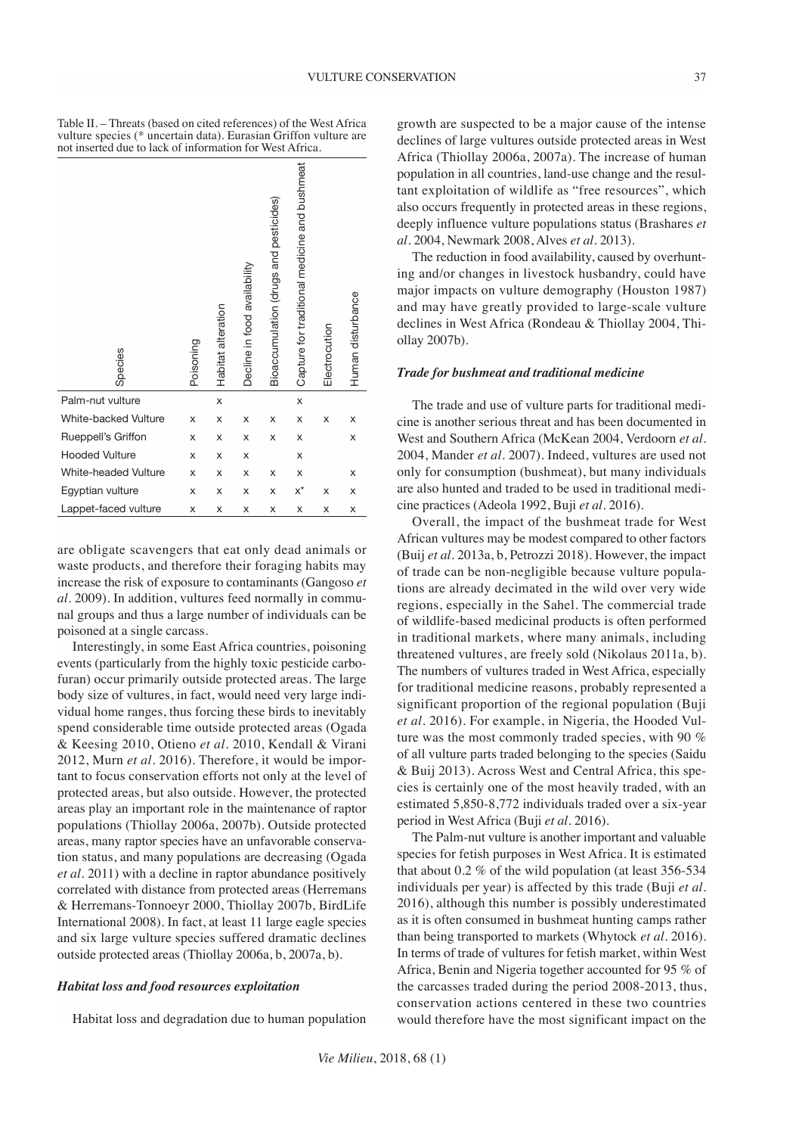Table II. – Threats (based on cited references) of the West Africa vulture species (\* uncertain data). Eurasian Griffon vulture are not inserted due to lack of information for West Africa.

| Species               | Poisoning | Habitat alteration | Decline in food availability | Bioaccumulation (drugs and pesticides) | Capture for traditional medicine and bushmeat | Electrocution | Human disturbance |
|-----------------------|-----------|--------------------|------------------------------|----------------------------------------|-----------------------------------------------|---------------|-------------------|
| Palm-nut vulture      |           | X                  |                              |                                        | X                                             |               |                   |
| White-backed Vulture  | X         | X                  | X                            | X                                      | X                                             | X             | x                 |
| Rueppell's Griffon    | x         | x                  | X                            | x                                      | x                                             |               | x                 |
| <b>Hooded Vulture</b> | X         | x                  | x                            |                                        | X                                             |               |                   |
| White-headed Vulture  | X         | X                  | X                            | x                                      | X                                             |               | x                 |
| Egyptian vulture      | x         | x                  | X                            | x                                      | $x^{\star}$                                   | X             | x                 |
| Lappet-faced vulture  | X         | X                  | X                            | X                                      | X                                             | Χ             | х                 |

are obligate scavengers that eat only dead animals or waste products, and therefore their foraging habits may increase the risk of exposure to contaminants (Gangoso *et al.* 2009). In addition, vultures feed normally in communal groups and thus a large number of individuals can be poisoned at a single carcass.

Interestingly, in some East Africa countries, poisoning events (particularly from the highly toxic pesticide carbofuran) occur primarily outside protected areas. The large body size of vultures, in fact, would need very large individual home ranges, thus forcing these birds to inevitably spend considerable time outside protected areas (Ogada & Keesing 2010, Otieno *et al.* 2010, Kendall & Virani 2012, Murn *et al.* 2016). Therefore, it would be important to focus conservation efforts not only at the level of protected areas, but also outside. However, the protected areas play an important role in the maintenance of raptor populations (Thiollay 2006a, 2007b). Outside protected areas, many raptor species have an unfavorable conservation status, and many populations are decreasing (Ogada *et al.* 2011) with a decline in raptor abundance positively correlated with distance from protected areas (Herremans & Herremans-Tonnoeyr 2000, Thiollay 2007b, BirdLife International 2008). In fact, at least 11 large eagle species and six large vulture species suffered dramatic declines outside protected areas (Thiollay 2006a, b, 2007a, b).

#### *Habitat loss and food resources exploitation*

Habitat loss and degradation due to human population

growth are suspected to be a major cause of the intense declines of large vultures outside protected areas in West Africa (Thiollay 2006a, 2007a). The increase of human population in all countries, land-use change and the resultant exploitation of wildlife as "free resources", which also occurs frequently in protected areas in these regions, deeply influence vulture populations status (Brashares *et al.* 2004, Newmark 2008, Alves *et al.* 2013).

The reduction in food availability, caused by overhunting and/or changes in livestock husbandry, could have major impacts on vulture demography (Houston 1987) and may have greatly provided to large-scale vulture declines in West Africa (Rondeau & Thiollay 2004, Thiollay 2007b).

#### *Trade for bushmeat and traditional medicine*

The trade and use of vulture parts for traditional medicine is another serious threat and has been documented in West and Southern Africa (McKean 2004, Verdoorn *et al.*  2004, Mander *et al.* 2007). Indeed, vultures are used not only for consumption (bushmeat), but many individuals are also hunted and traded to be used in traditional medicine practices (Adeola 1992, Buji *et al.* 2016).

Overall, the impact of the bushmeat trade for West African vultures may be modest compared to other factors (Buij *et al.* 2013a, b, Petrozzi 2018). However, the impact of trade can be non-negligible because vulture populations are already decimated in the wild over very wide regions, especially in the Sahel. The commercial trade of wildlife-based medicinal products is often performed in traditional markets, where many animals, including threatened vultures, are freely sold (Nikolaus 2011a, b). The numbers of vultures traded in West Africa, especially for traditional medicine reasons, probably represented a significant proportion of the regional population (Buji *et al.* 2016). For example, in Nigeria, the Hooded Vulture was the most commonly traded species, with 90 % of all vulture parts traded belonging to the species (Saidu & Buij 2013). Across West and Central Africa, this species is certainly one of the most heavily traded, with an estimated 5,850-8,772 individuals traded over a six-year period in West Africa (Buji *et al.* 2016).

The Palm-nut vulture is another important and valuable species for fetish purposes in West Africa. It is estimated that about 0.2 % of the wild population (at least 356-534 individuals per year) is affected by this trade (Buji *et al.*  2016), although this number is possibly underestimated as it is often consumed in bushmeat hunting camps rather than being transported to markets (Whytock *et al.* 2016). In terms of trade of vultures for fetish market, within West Africa, Benin and Nigeria together accounted for 95 % of the carcasses traded during the period 2008-2013, thus, conservation actions centered in these two countries would therefore have the most significant impact on the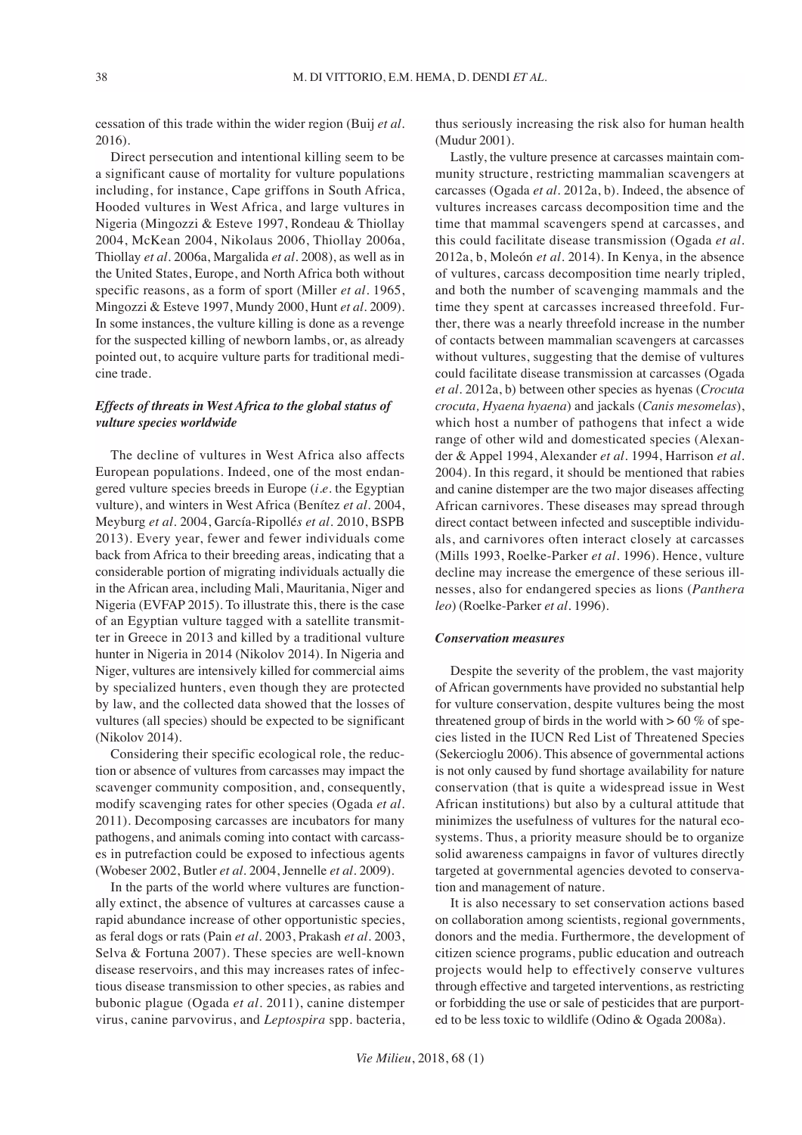cessation of this trade within the wider region (Buij *et al.*  2016).

Direct persecution and intentional killing seem to be a significant cause of mortality for vulture populations including, for instance, Cape griffons in South Africa, Hooded vultures in West Africa, and large vultures in Nigeria (Mingozzi & Esteve 1997, Rondeau & Thiollay 2004, McKean 2004, Nikolaus 2006, Thiollay 2006a, Thiollay *et al.* 2006a, Margalida *et al.* 2008), as well as in the United States, Europe, and North Africa both without specific reasons, as a form of sport (Miller *et al.* 1965, Mingozzi & Esteve 1997, Mundy 2000, Hunt *et al.* 2009). In some instances, the vulture killing is done as a revenge for the suspected killing of newborn lambs, or, as already pointed out, to acquire vulture parts for traditional medicine trade.

## *Effects of threats in West Africa to the global status of vulture species worldwide*

The decline of vultures in West Africa also affects European populations. Indeed, one of the most endangered vulture species breeds in Europe (*i.e.* the Egyptian vulture), and winters in West Africa (Benítez *et al*. 2004, Meyburg *et al.* 2004, García-Ripollé*s et al*. 2010, BSPB 2013). Every year, fewer and fewer individuals come back from Africa to their breeding areas, indicating that a considerable portion of migrating individuals actually die in the African area, including Mali, Mauritania, Niger and Nigeria (EVFAP 2015). To illustrate this, there is the case of an Egyptian vulture tagged with a satellite transmitter in Greece in 2013 and killed by a traditional vulture hunter in Nigeria in 2014 (Nikolov 2014). In Nigeria and Niger, vultures are intensively killed for commercial aims by specialized hunters, even though they are protected by law, and the collected data showed that the losses of vultures (all species) should be expected to be significant (Nikolov 2014).

Considering their specific ecological role, the reduction or absence of vultures from carcasses may impact the scavenger community composition, and, consequently, modify scavenging rates for other species (Ogada *et al.*  2011). Decomposing carcasses are incubators for many pathogens, and animals coming into contact with carcasses in putrefaction could be exposed to infectious agents (Wobeser 2002, Butler *et al.* 2004, Jennelle *et al.* 2009).

In the parts of the world where vultures are functionally extinct, the absence of vultures at carcasses cause a rapid abundance increase of other opportunistic species, as feral dogs or rats (Pain *et al.* 2003, Prakash *et al.* 2003, Selva & Fortuna 2007). These species are well-known disease reservoirs, and this may increases rates of infectious disease transmission to other species, as rabies and bubonic plague (Ogada *et al.* 2011), canine distemper virus, canine parvovirus, and *Leptospira* spp. bacteria, thus seriously increasing the risk also for human health (Mudur 2001).

Lastly, the vulture presence at carcasses maintain community structure, restricting mammalian scavengers at carcasses (Ogada *et al.* 2012a, b). Indeed, the absence of vultures increases carcass decomposition time and the time that mammal scavengers spend at carcasses, and this could facilitate disease transmission (Ogada *et al.*  2012a, b, Moleón *et al.* 2014). In Kenya, in the absence of vultures, carcass decomposition time nearly tripled, and both the number of scavenging mammals and the time they spent at carcasses increased threefold. Further, there was a nearly threefold increase in the number of contacts between mammalian scavengers at carcasses without vultures, suggesting that the demise of vultures could facilitate disease transmission at carcasses (Ogada *et al.* 2012a, b) between other species as hyenas (*Crocuta crocuta, Hyaena hyaena*) and jackals (*Canis mesomelas*), which host a number of pathogens that infect a wide range of other wild and domesticated species (Alexander & Appel 1994, Alexander *et al.* 1994, Harrison *et al.*  2004). In this regard, it should be mentioned that rabies and canine distemper are the two major diseases affecting African carnivores. These diseases may spread through direct contact between infected and susceptible individuals, and carnivores often interact closely at carcasses (Mills 1993, Roelke-Parker *et al.* 1996). Hence, vulture decline may increase the emergence of these serious illnesses, also for endangered species as lions (*Panthera leo*) (Roelke-Parker *et al.* 1996).

#### *Conservation measures*

Despite the severity of the problem, the vast majority of African governments have provided no substantial help for vulture conservation, despite vultures being the most threatened group of birds in the world with  $> 60 \%$  of species listed in the IUCN Red List of Threatened Species (Sekercioglu 2006). This absence of governmental actions is not only caused by fund shortage availability for nature conservation (that is quite a widespread issue in West African institutions) but also by a cultural attitude that minimizes the usefulness of vultures for the natural ecosystems. Thus, a priority measure should be to organize solid awareness campaigns in favor of vultures directly targeted at governmental agencies devoted to conservation and management of nature.

It is also necessary to set conservation actions based on collaboration among scientists, regional governments, donors and the media. Furthermore, the development of citizen science programs, public education and outreach projects would help to effectively conserve vultures through effective and targeted interventions, as restricting or forbidding the use or sale of pesticides that are purported to be less toxic to wildlife (Odino & Ogada 2008a).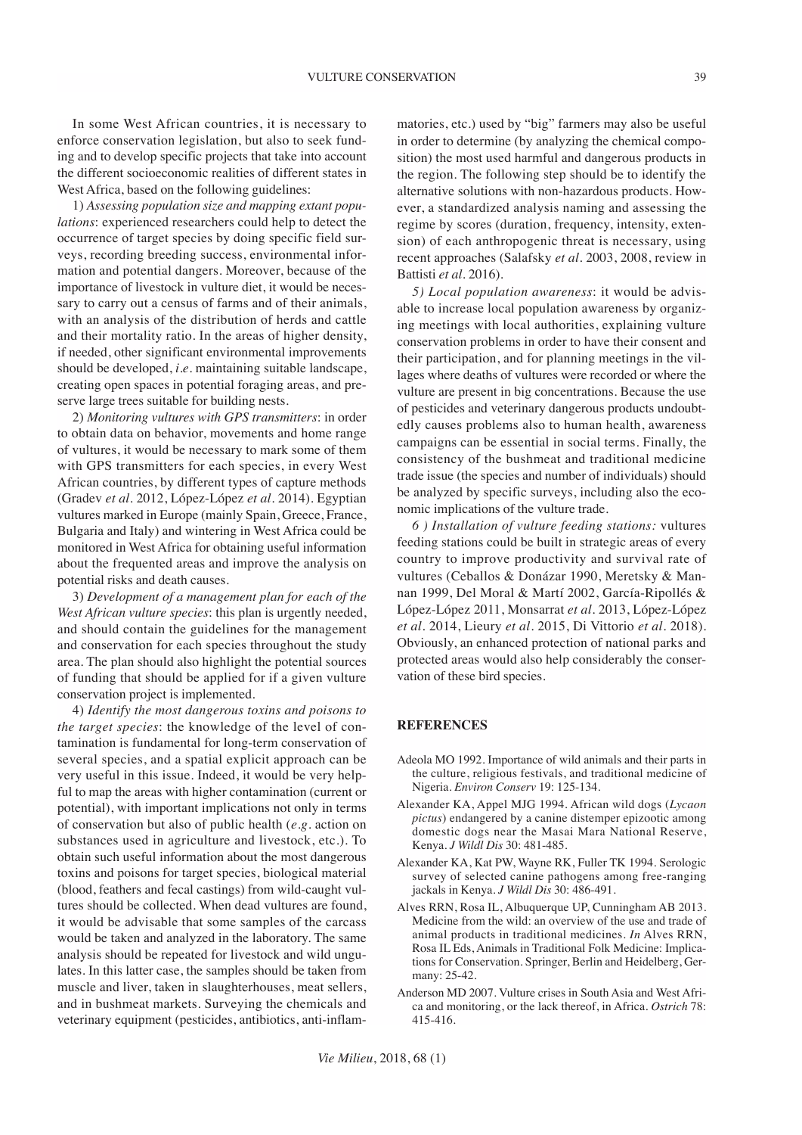VULTURE CONSERVATION 39

In some West African countries, it is necessary to enforce conservation legislation, but also to seek funding and to develop specific projects that take into account the different socioeconomic realities of different states in West Africa, based on the following guidelines:

1) *Assessing population size and mapping extant populations*: experienced researchers could help to detect the occurrence of target species by doing specific field surveys, recording breeding success, environmental information and potential dangers. Moreover, because of the importance of livestock in vulture diet, it would be necessary to carry out a census of farms and of their animals, with an analysis of the distribution of herds and cattle and their mortality ratio. In the areas of higher density, if needed, other significant environmental improvements should be developed, *i.e.* maintaining suitable landscape, creating open spaces in potential foraging areas, and preserve large trees suitable for building nests.

2) *Monitoring vultures with GPS transmitters*: in order to obtain data on behavior, movements and home range of vultures, it would be necessary to mark some of them with GPS transmitters for each species, in every West African countries, by different types of capture methods (Gradev *et al.* 2012, López-López *et al.* 2014). Egyptian vultures marked in Europe (mainly Spain, Greece, France, Bulgaria and Italy) and wintering in West Africa could be monitored in West Africa for obtaining useful information about the frequented areas and improve the analysis on potential risks and death causes.

3) *Development of a management plan for each of the West African vulture species*: this plan is urgently needed, and should contain the guidelines for the management and conservation for each species throughout the study area. The plan should also highlight the potential sources of funding that should be applied for if a given vulture conservation project is implemented.

4) *Identify the most dangerous toxins and poisons to the target species*: the knowledge of the level of contamination is fundamental for long-term conservation of several species, and a spatial explicit approach can be very useful in this issue. Indeed, it would be very helpful to map the areas with higher contamination (current or potential), with important implications not only in terms of conservation but also of public health (*e.g.* action on substances used in agriculture and livestock, etc.). To obtain such useful information about the most dangerous toxins and poisons for target species, biological material (blood, feathers and fecal castings) from wild-caught vultures should be collected. When dead vultures are found, it would be advisable that some samples of the carcass would be taken and analyzed in the laboratory. The same analysis should be repeated for livestock and wild ungulates. In this latter case, the samples should be taken from muscle and liver, taken in slaughterhouses, meat sellers, and in bushmeat markets. Surveying the chemicals and veterinary equipment (pesticides, antibiotics, anti-inflammatories, etc.) used by "big" farmers may also be useful in order to determine (by analyzing the chemical composition) the most used harmful and dangerous products in the region. The following step should be to identify the alternative solutions with non-hazardous products. However, a standardized analysis naming and assessing the regime by scores (duration, frequency, intensity, extension) of each anthropogenic threat is necessary, using recent approaches (Salafsky *et al.* 2003, 2008, review in Battisti *et al.* 2016).

*5) Local population awareness*: it would be advisable to increase local population awareness by organizing meetings with local authorities, explaining vulture conservation problems in order to have their consent and their participation, and for planning meetings in the villages where deaths of vultures were recorded or where the vulture are present in big concentrations. Because the use of pesticides and veterinary dangerous products undoubtedly causes problems also to human health, awareness campaigns can be essential in social terms. Finally, the consistency of the bushmeat and traditional medicine trade issue (the species and number of individuals) should be analyzed by specific surveys, including also the economic implications of the vulture trade.

*6 ) Installation of vulture feeding stations:* vultures feeding stations could be built in strategic areas of every country to improve productivity and survival rate of vultures (Ceballos & Donázar 1990, Meretsky & Mannan 1999, Del Moral & Martí 2002, García-Ripollés & López-López 2011, Monsarrat *et al.* 2013, López-López *et al.* 2014, Lieury *et al.* 2015, Di Vittorio *et al.* 2018). Obviously, an enhanced protection of national parks and protected areas would also help considerably the conservation of these bird species.

#### **REFERENCES**

- Adeola MO 1992. Importance of wild animals and their parts in the culture, religious festivals, and traditional medicine of Nigeria. *Environ Conserv* 19: 125-134.
- Alexander KA, Appel MJG 1994. African wild dogs (*Lycaon pictus*) endangered by a canine distemper epizootic among domestic dogs near the Masai Mara National Reserve, Kenya. *J Wildl Dis* 30: 481-485.
- Alexander KA, Kat PW, Wayne RK, Fuller TK 1994. Serologic survey of selected canine pathogens among free-ranging jackals in Kenya. *J Wildl Dis* 30: 486-491.
- Alves RRN, Rosa IL, Albuquerque UP, Cunningham AB 2013. Medicine from the wild: an overview of the use and trade of animal products in traditional medicines. *In* Alves RRN, Rosa IL Eds, Animals in Traditional Folk Medicine: Implications for Conservation. Springer, Berlin and Heidelberg, Germany: 25-42.
- Anderson MD 2007. Vulture crises in South Asia and West Africa and monitoring, or the lack thereof, in Africa. *Ostrich* 78: 415-416.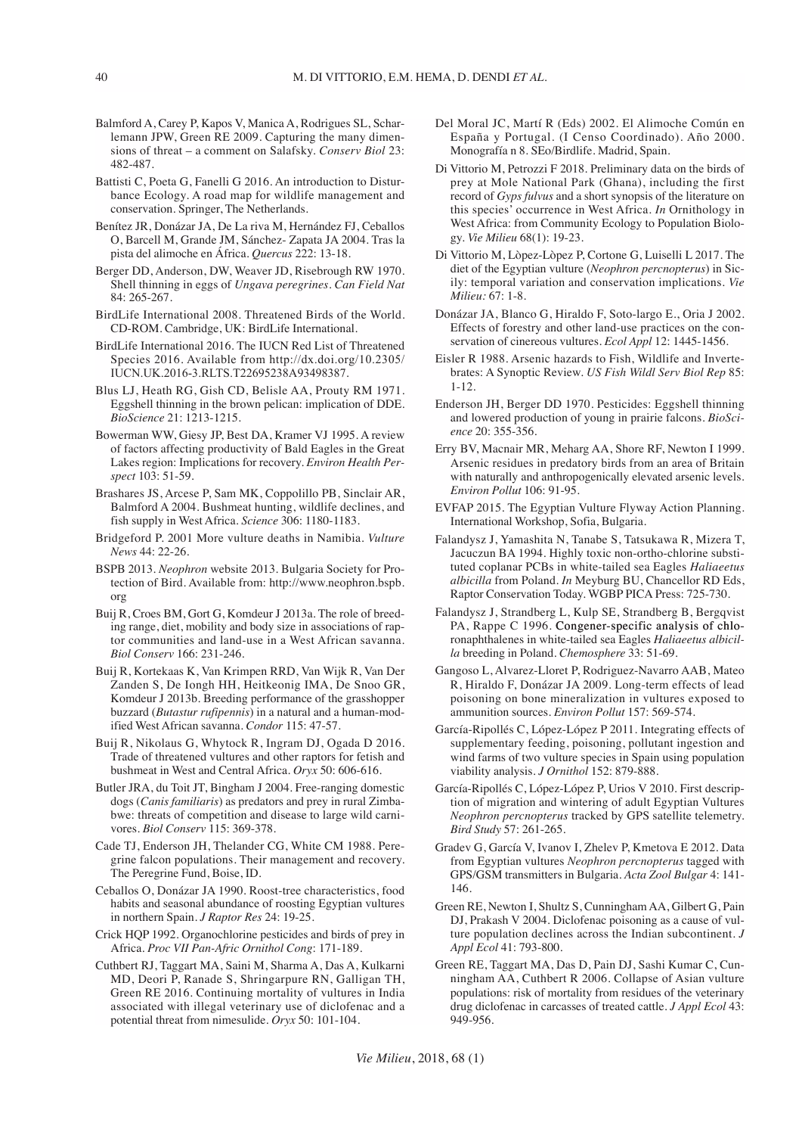- Balmford A, Carey P, Kapos V, Manica A, Rodrigues SL, Scharlemann JPW, Green RE 2009. Capturing the many dimensions of threat – a comment on Salafsky. *Conserv Biol* 23: 482-487.
- Battisti C, Poeta G, Fanelli G 2016. An introduction to Disturbance Ecology. A road map for wildlife management and conservation. Springer, The Netherlands.
- Benítez JR, Donázar JA, De La riva M, Hernández FJ, Ceballos O, Barcell M, Grande JM, Sánchez- Zapata JA 2004. Tras la pista del alimoche en África. *Quercus* 222: 13-18.
- Berger DD, Anderson, DW, Weaver JD, Risebrough RW 1970. Shell thinning in eggs of *Ungava peregrines*. *Can Field Nat* 84: 265-267.
- BirdLife International 2008. Threatened Birds of the World. CD-ROM. Cambridge, UK: BirdLife International.
- BirdLife International 2016. The IUCN Red List of Threatened Species 2016. Available from http://dx.doi.org/10.2305/ IUCN.UK.2016-3.RLTS.T22695238A93498387.
- Blus LJ, Heath RG, Gish CD, Belisle AA, Prouty RM 1971. Eggshell thinning in the brown pelican: implication of DDE. *BioScience* 21: 1213-1215.
- Bowerman WW, Giesy JP, Best DA, Kramer VJ 1995. A review of factors affecting productivity of Bald Eagles in the Great Lakes region: Implications for recovery. *Environ Health Perspect* 103: 51-59.
- Brashares JS, Arcese P, Sam MK, Coppolillo PB, Sinclair AR, Balmford A 2004. Bushmeat hunting, wildlife declines, and fish supply in West Africa. *Science* 306: 1180-1183.
- Bridgeford P. 2001 More vulture deaths in Namibia. *Vulture News* 44: 22-26.
- BSPB 2013. *Neophron* website 2013. Bulgaria Society for Protection of Bird. Available from: http://www.neophron.bspb. org
- Buij R, Croes BM, Gort G, Komdeur J 2013a. The role of breeding range, diet, mobility and body size in associations of raptor communities and land-use in a West African savanna. *Biol Conserv* 166: 231-246.
- Buij R, Kortekaas K, Van Krimpen RRD, Van Wijk R, Van Der Zanden S, De Iongh HH, Heitkeonig IMA, De Snoo GR, Komdeur J 2013b. Breeding performance of the grasshopper buzzard (*Butastur rufipennis*) in a natural and a human-modified West African savanna. *Condor* 115: 47-57.
- Buij R, Nikolaus G, Whytock R, Ingram DJ, Ogada D 2016. Trade of threatened vultures and other raptors for fetish and bushmeat in West and Central Africa. *Oryx* 50: 606-616.
- Butler JRA, du Toit JT, Bingham J 2004. Free-ranging domestic dogs (*Canis familiaris*) as predators and prey in rural Zimbabwe: threats of competition and disease to large wild carnivores. *Biol Conserv* 115: 369-378.
- Cade TJ, Enderson JH, Thelander CG, White CM 1988. Peregrine falcon populations. Their management and recovery. The Peregrine Fund, Boise, ID.
- Ceballos O, Donázar JA 1990. Roost-tree characteristics, food habits and seasonal abundance of roosting Egyptian vultures in northern Spain. *J Raptor Res* 24: 19-25.
- Crick HQP 1992. Organochlorine pesticides and birds of prey in Africa. *Proc VII Pan-Afric Ornithol Cong*: 171-189.
- Cuthbert RJ, Taggart MA, Saini M, Sharma A, Das A, Kulkarni MD, Deori P, Ranade S, Shringarpure RN, Galligan TH, Green RE 2016. Continuing mortality of vultures in India associated with illegal veterinary use of diclofenac and a potential threat from nimesulide. *Oryx* 50: 101-104.
- Del Moral JC, Martí R (Eds) 2002. El Alimoche Común en España y Portugal. (I Censo Coordinado). Año 2000. Monografía n 8. SEo/Birdlife. Madrid, Spain.
- Di Vittorio M, Petrozzi F 2018. Preliminary data on the birds of prey at Mole National Park (Ghana), including the first record of *Gyps fulvus* and a short synopsis of the literature on this species' occurrence in West Africa. *In* Ornithology in West Africa: from Community Ecology to Population Biology. *Vie Milieu* 68(1): 19-23.
- Di Vittorio M, Lòpez-Lòpez P, Cortone G, Luiselli L 2017. The diet of the Egyptian vulture (*Neophron percnopterus*) in Sicily: temporal variation and conservation implications. *Vie Milieu:* 67: 1-8.
- Donázar JA, Blanco G, Hiraldo F, Soto-largo E., Oria J 2002. Effects of forestry and other land-use practices on the conservation of cinereous vultures. *Ecol Appl* 12: 1445-1456.
- Eisler R 1988. Arsenic hazards to Fish, Wildlife and Invertebrates: A Synoptic Review. *US Fish Wildl Serv Biol Rep* 85: 1-12.
- Enderson JH, Berger DD 1970. Pesticides: Eggshell thinning and lowered production of young in prairie falcons. *BioScience* 20: 355-356.
- Erry BV, Macnair MR, Meharg AA, Shore RF, Newton I 1999. Arsenic residues in predatory birds from an area of Britain with naturally and anthropogenically elevated arsenic levels. *Environ Pollut* 106: 91-95.
- EVFAP 2015. The Egyptian Vulture Flyway Action Planning. International Workshop, Sofia, Bulgaria.
- Falandysz J, Yamashita N, Tanabe S, Tatsukawa R, Mizera T, Jacuczun BA 1994. Highly toxic non-ortho-chlorine substituted coplanar PCBs in white-tailed sea Eagles *Haliaeetus albicilla* from Poland. *In* Meyburg BU, Chancellor RD Eds, Raptor Conservation Today. WGBP PICA Press: 725-730.
- Falandysz J, Strandberg L, Kulp SE, Strandberg B, Bergqvist PA, Rappe C 1996. Congener-specific analysis of chloronaphthalenes in white-tailed sea Eagles *Haliaeetus albicilla* breeding in Poland. *Chemosphere* 33: 51-69.
- Gangoso L, Alvarez-Lloret P, Rodriguez-Navarro AAB, Mateo R, Hiraldo F, Donázar JA 2009. Long-term effects of lead poisoning on bone mineralization in vultures exposed to ammunition sources. *Environ Pollut* 157: 569-574.
- García-Ripollés C, López-López P 2011. Integrating effects of supplementary feeding, poisoning, pollutant ingestion and wind farms of two vulture species in Spain using population viability analysis. *J Ornithol* 152: 879-888.
- García-Ripollés C, López-López P, Urios V 2010. First description of migration and wintering of adult Egyptian Vultures *Neophron percnopterus* tracked by GPS satellite telemetry. *Bird Study* 57: 261-265.
- Gradev G, García V, Ivanov I, Zhelev P, Kmetova E 2012. Data from Egyptian vultures *Neophron percnopterus* tagged with GPS/GSM transmitters in Bulgaria. *Acta Zool Bulgar* 4: 141- 146.
- Green RE, Newton I, Shultz S, Cunningham AA, Gilbert G, Pain DJ, Prakash V 2004. Diclofenac poisoning as a cause of vulture population declines across the Indian subcontinent. *J Appl Ecol* 41: 793-800.
- Green RE, Taggart MA, Das D, Pain DJ, Sashi Kumar C, Cunningham AA, Cuthbert R 2006. Collapse of Asian vulture populations: risk of mortality from residues of the veterinary drug diclofenac in carcasses of treated cattle. *J Appl Ecol* 43: 949-956.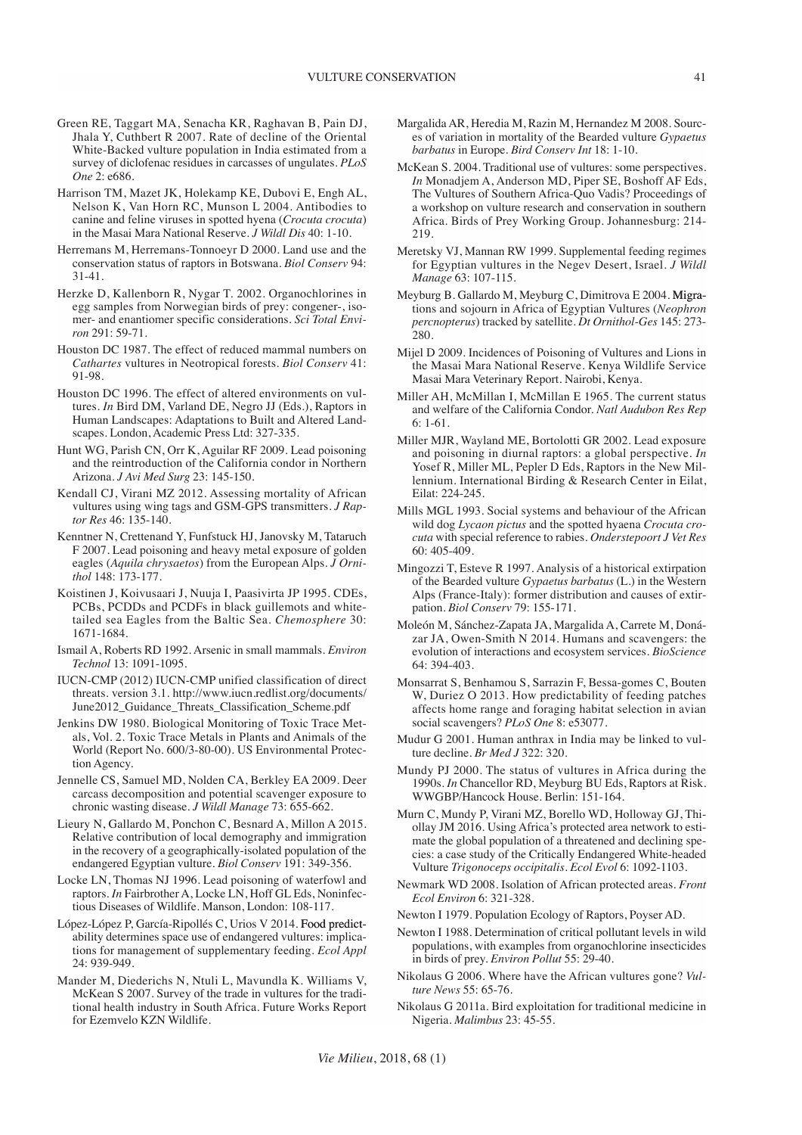- Green RE, Taggart MA, Senacha KR, Raghavan B, Pain DJ, Jhala Y, Cuthbert R 2007. Rate of decline of the Oriental White-Backed vulture population in India estimated from a survey of diclofenac residues in carcasses of ungulates. *PLoS One* 2: e686.
- Harrison TM, Mazet JK, Holekamp KE, Dubovi E, Engh AL, Nelson K, Van Horn RC, Munson L 2004. Antibodies to canine and feline viruses in spotted hyena (*Crocuta crocuta*) in the Masai Mara National Reserve. *J Wildl Dis* 40: 1-10.
- Herremans M, Herremans-Tonnoeyr D 2000. Land use and the conservation status of raptors in Botswana. *Biol Conserv* 94: 31-41.
- Herzke D, Kallenborn R, Nygar T. 2002. Organochlorines in egg samples from Norwegian birds of prey: congener-, isomer- and enantiomer specific considerations. *Sci Total Environ* 291: 59-71.
- Houston DC 1987. The effect of reduced mammal numbers on *Cathartes* vultures in Neotropical forests. *Biol Conserv* 41: 91-98.
- Houston DC 1996. The effect of altered environments on vultures. *In* Bird DM, Varland DE, Negro JJ (Eds.), Raptors in Human Landscapes: Adaptations to Built and Altered Landscapes. London, Academic Press Ltd: 327-335.
- Hunt WG, Parish CN, Orr K, Aguilar RF 2009. Lead poisoning and the reintroduction of the California condor in Northern Arizona. *J Avi Med Surg* 23: 145-150.
- Kendall CJ, Virani MZ 2012. Assessing mortality of African vultures using wing tags and GSM-GPS transmitters. *J Raptor Res* 46: 135-140.
- Kenntner N, Crettenand Y, Funfstuck HJ, Janovsky M, Tataruch F 2007. Lead poisoning and heavy metal exposure of golden eagles (*Aquila chrysaetos*) from the European Alps. *J Ornithol* 148: 173-177.
- Koistinen J, Koivusaari J, Nuuja I, Paasivirta JP 1995. CDEs, PCBs, PCDDs and PCDFs in black guillemots and whitetailed sea Eagles from the Baltic Sea. *Chemosphere* 30: 1671-1684.
- Ismail A, Roberts RD 1992. Arsenic in small mammals. *Environ Technol* 13: 1091-1095.
- IUCN-CMP (2012) IUCN-CMP unified classification of direct threats. version 3.1. http://www.iucn.redlist.org/documents/ June2012\_Guidance\_Threats\_Classification\_Scheme.pdf
- Jenkins DW 1980. Biological Monitoring of Toxic Trace Metals, Vol. 2. Toxic Trace Metals in Plants and Animals of the World (Report No. 600/3-80-00). US Environmental Protection Agency.
- Jennelle CS, Samuel MD, Nolden CA, Berkley EA 2009. Deer carcass decomposition and potential scavenger exposure to chronic wasting disease. *J Wildl Manage* 73: 655-662.
- Lieury N, Gallardo M, Ponchon C, Besnard A, Millon A 2015. Relative contribution of local demography and immigration in the recovery of a geographically-isolated population of the endangered Egyptian vulture. *Biol Conserv* 191: 349-356.
- Locke LN, Thomas NJ 1996. Lead poisoning of waterfowl and raptors. *In* Fairbrother A, Locke LN, Hoff GL Eds, Noninfectious Diseases of Wildlife. Manson, London: 108-117.
- López-López P, García-Ripollés C, Urios V 2014. Food predictability determines space use of endangered vultures: implications for management of supplementary feeding. *Ecol Appl* 24: 939-949.
- Mander M, Diederichs N, Ntuli L, Mavundla K. Williams V, McKean S 2007. Survey of the trade in vultures for the traditional health industry in South Africa. Future Works Report for Ezemvelo KZN Wildlife.
- Margalida AR, Heredia M, Razin M, Hernandez M 2008. Sources of variation in mortality of the Bearded vulture *Gypaetus barbatus* in Europe. *Bird Conserv Int* 18: 1-10.
- McKean S. 2004. Traditional use of vultures: some perspectives. *In* Monadjem A, Anderson MD, Piper SE, Boshoff AF Eds, The Vultures of Southern Africa-Quo Vadis? Proceedings of a workshop on vulture research and conservation in southern Africa. Birds of Prey Working Group. Johannesburg: 214- 219.
- Meretsky VJ, Mannan RW 1999. Supplemental feeding regimes for Egyptian vultures in the Negev Desert, Israel. *J Wildl Manage* 63: 107-115.
- Meyburg B. Gallardo M, Meyburg C, Dimitrova E 2004. Migrations and sojourn in Africa of Egyptian Vultures (*Neophron percnopterus*) tracked by satellite. *Dt Ornithol-Ges* 145: 273- 280.
- Mijel D 2009. Incidences of Poisoning of Vultures and Lions in the Masai Mara National Reserve. Kenya Wildlife Service Masai Mara Veterinary Report. Nairobi, Kenya.
- Miller AH, McMillan I, McMillan E 1965. The current status and welfare of the California Condor. *Natl Audubon Res Rep* 6: 1-61.
- Miller MJR, Wayland ME, Bortolotti GR 2002. Lead exposure and poisoning in diurnal raptors: a global perspective. *In* Yosef R, Miller ML, Pepler D Eds, Raptors in the New Millennium. International Birding & Research Center in Eilat, Eilat: 224-245.
- Mills MGL 1993. Social systems and behaviour of the African wild dog *Lycaon pictus* and the spotted hyaena *Crocuta crocuta* with special reference to rabies. *Onderstepoort J Vet Res* 60: 405-409.
- Mingozzi T, Esteve R 1997. Analysis of a historical extirpation of the Bearded vulture *Gypaetus barbatus* (L.) in the Western Alps (France-Italy): former distribution and causes of extirpation. *Biol Conserv* 79: 155-171.
- Moleón M, Sánchez-Zapata JA, Margalida A, Carrete M, Donázar JA, Owen-Smith N 2014. Humans and scavengers: the evolution of interactions and ecosystem services. *BioScience* 64: 394-403.
- Monsarrat S, Benhamou S, Sarrazin F, Bessa-gomes C, Bouten W, Duriez O 2013. How predictability of feeding patches affects home range and foraging habitat selection in avian social scavengers? *PLoS One* 8: e53077.
- Mudur G 2001. Human anthrax in India may be linked to vulture decline. *Br Med J* 322: 320.
- Mundy PJ 2000. The status of vultures in Africa during the 1990s. *In* Chancellor RD, Meyburg BU Eds, Raptors at Risk. WWGBP/Hancock House. Berlin: 151-164.
- Murn C, Mundy P, Virani MZ, Borello WD, Holloway GJ, Thiollay JM 2016. Using Africa's protected area network to estimate the global population of a threatened and declining species: a case study of the Critically Endangered White-headed Vulture *Trigonoceps occipitalis. Ecol Evol* 6: 1092-1103.
- Newmark WD 2008. Isolation of African protected areas. *Front Ecol Environ* 6: 321-328.
- Newton I 1979. Population Ecology of Raptors, Poyser AD.
- Newton I 1988. Determination of critical pollutant levels in wild populations, with examples from organochlorine insecticides in birds of prey. *Environ Pollut* 55: 29-40.
- Nikolaus G 2006. Where have the African vultures gone? *Vulture News* 55: 65-76.
- Nikolaus G 2011a. Bird exploitation for traditional medicine in Nigeria. *Malimbus* 23: 45-55.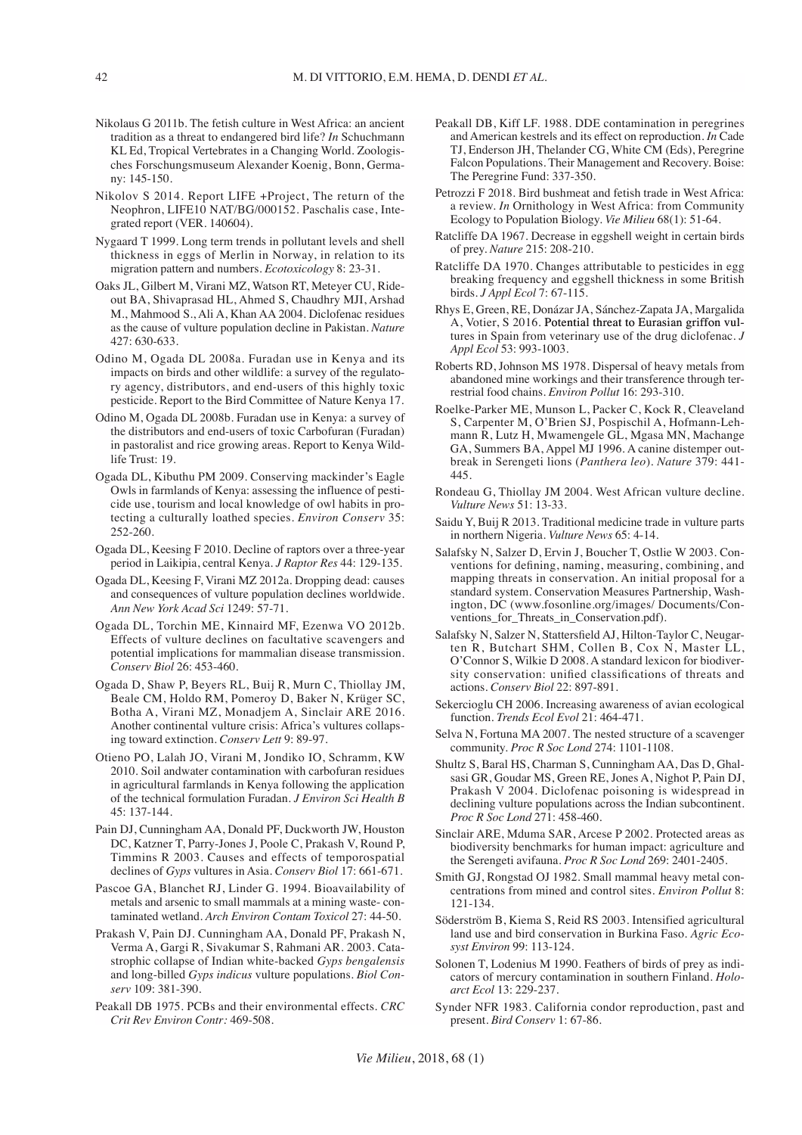- Nikolaus G 2011b. The fetish culture in West Africa: an ancient tradition as a threat to endangered bird life? *In* Schuchmann KL Ed, Tropical Vertebrates in a Changing World. Zoologisches Forschungsmuseum Alexander Koenig, Bonn, Germany: 145-150.
- Nikolov S 2014. Report LIFE +Project, The return of the Neophron, LIFE10 NAT/BG/000152. Paschalis case, Integrated report (VER. 140604).
- Nygaard T 1999. Long term trends in pollutant levels and shell thickness in eggs of Merlin in Norway, in relation to its migration pattern and numbers. *Ecotoxicology* 8: 23-31.
- Oaks JL, Gilbert M, Virani MZ, Watson RT, Meteyer CU, Rideout BA, Shivaprasad HL, Ahmed S, Chaudhry MJI, Arshad M., Mahmood S., Ali A, Khan AA 2004. Diclofenac residues as the cause of vulture population decline in Pakistan. *Nature* 427: 630-633.
- Odino M, Ogada DL 2008a. Furadan use in Kenya and its impacts on birds and other wildlife: a survey of the regulatory agency, distributors, and end-users of this highly toxic pesticide. Report to the Bird Committee of Nature Kenya 17.
- Odino M, Ogada DL 2008b. Furadan use in Kenya: a survey of the distributors and end-users of toxic Carbofuran (Furadan) in pastoralist and rice growing areas. Report to Kenya Wildlife Trust: 19.
- Ogada DL, Kibuthu PM 2009. Conserving mackinder's Eagle Owls in farmlands of Kenya: assessing the influence of pesticide use, tourism and local knowledge of owl habits in protecting a culturally loathed species. *Environ Conserv* 35: 252-260.
- Ogada DL, Keesing F 2010. Decline of raptors over a three-year period in Laikipia, central Kenya. *J Raptor Res* 44: 129-135.
- Ogada DL, Keesing F, Virani MZ 2012a. Dropping dead: causes and consequences of vulture population declines worldwide. *Ann New York Acad Sci* 1249: 57-71.
- Ogada DL, Torchin ME, Kinnaird MF, Ezenwa VO 2012b. Effects of vulture declines on facultative scavengers and potential implications for mammalian disease transmission. *Conserv Biol* 26: 453-460.
- Ogada D, Shaw P, Beyers RL, Buij R, Murn C, Thiollay JM, Beale CM, Holdo RM, Pomeroy D, Baker N, Krüger SC, Botha A, Virani MZ, Monadjem A, Sinclair ARE 2016. Another continental vulture crisis: Africa's vultures collapsing toward extinction. *Conserv Lett* 9: 89-97.
- Otieno PO, Lalah JO, Virani M, Jondiko IO, Schramm, KW 2010. Soil andwater contamination with carbofuran residues in agricultural farmlands in Kenya following the application of the technical formulation Furadan. *J Environ Sci Health B* 45: 137-144.
- Pain DJ, Cunningham AA, Donald PF, Duckworth JW, Houston DC, Katzner T, Parry-Jones J, Poole C, Prakash V, Round P, Timmins R 2003. Causes and effects of temporospatial declines of *Gyps* vultures in Asia. *Conserv Biol* 17: 661-671.
- Pascoe GA, Blanchet RJ, Linder G. 1994. Bioavailability of metals and arsenic to small mammals at a mining waste- contaminated wetland. *Arch Environ Contam Toxicol* 27: 44-50.
- Prakash V, Pain DJ. Cunningham AA, Donald PF, Prakash N, Verma A, Gargi R, Sivakumar S, Rahmani AR. 2003. Catastrophic collapse of Indian white-backed *Gyps bengalensis*  and long-billed *Gyps indicus* vulture populations. *Biol Conserv* 109: 381-390.
- Peakall DB 1975. PCBs and their environmental effects. *CRC Crit Rev Environ Contr:* 469-508.
- Peakall DB, Kiff LF. 1988. DDE contamination in peregrines and American kestrels and its effect on reproduction. *In* Cade TJ, Enderson JH, Thelander CG, White CM (Eds), Peregrine Falcon Populations. Their Management and Recovery. Boise: The Peregrine Fund: 337-350.
- Petrozzi F 2018. Bird bushmeat and fetish trade in West Africa: a review. *In* Ornithology in West Africa: from Community Ecology to Population Biology. *Vie Milieu* 68(1): 51-64.
- Ratcliffe DA 1967. Decrease in eggshell weight in certain birds of prey. *Nature* 215: 208-210.
- Ratcliffe DA 1970. Changes attributable to pesticides in egg breaking frequency and eggshell thickness in some British birds. *J Appl Ecol* 7: 67-115.
- Rhys E, Green, RE, Donázar JA, Sánchez-Zapata JA, Margalida A, Votier,  $S$  2016. Potential threat to Eurasian griffon vultures in Spain from veterinary use of the drug diclofenac. *J Appl Ecol* 53: 993-1003.
- Roberts RD, Johnson MS 1978. Dispersal of heavy metals from abandoned mine workings and their transference through terrestrial food chains. *Environ Pollut* 16: 293-310.
- Roelke-Parker ME, Munson L, Packer C, Kock R, Cleaveland S, Carpenter M, O'Brien SJ, Pospischil A, Hofmann-Lehmann R, Lutz H, Mwamengele GL, Mgasa MN, Machange GA, Summers BA, Appel MJ 1996. A canine distemper outbreak in Serengeti lions (*Panthera leo*). *Nature* 379: 441- 445.
- Rondeau G, Thiollay JM 2004. West African vulture decline. *Vulture News* 51: 13-33.
- Saidu Y, Buij R 2013. Traditional medicine trade in vulture parts in northern Nigeria. *Vulture News* 65: 4-14.
- Salafsky N, Salzer D, Ervin J, Boucher T, Ostlie W 2003. Conventions for defining, naming, measuring, combining, and mapping threats in conservation. An initial proposal for a standard system. Conservation Measures Partnership, Washington, DC (www.fosonline.org/images/ Documents/Conventions for Threats in Conservation.pdf).
- Salafsky N, Salzer N, Stattersfield AJ, Hilton-Taylor C, Neugarten R, Butchart SHM, Collen B, Cox N, Master LL, O'Connor S, Wilkie D 2008. A standard lexicon for biodiversity conservation: unified classifications of threats and actions. *Conserv Biol* 22: 897-891.
- Sekercioglu CH 2006. Increasing awareness of avian ecological function. *Trends Ecol Evol* 21: 464-471.
- Selva N, Fortuna MA 2007. The nested structure of a scavenger community. *Proc R Soc Lond* 274: 1101-1108.
- Shultz S, Baral HS, Charman S, Cunningham AA, Das D, Ghalsasi GR, Goudar MS, Green RE, Jones A, Nighot P, Pain DJ, Prakash V 2004. Diclofenac poisoning is widespread in declining vulture populations across the Indian subcontinent. *Proc R Soc Lond* 271: 458-460.
- Sinclair ARE, Mduma SAR, Arcese P 2002. Protected areas as biodiversity benchmarks for human impact: agriculture and the Serengeti avifauna. *Proc R Soc Lond* 269: 2401-2405.
- Smith GJ, Rongstad OJ 1982. Small mammal heavy metal concentrations from mined and control sites. *Environ Pollut* 8: 121-134.
- Söderström B, Kiema S, Reid RS 2003. Intensified agricultural land use and bird conservation in Burkina Faso. *Agric Ecosyst Environ* 99: 113-124.
- Solonen T, Lodenius M 1990. Feathers of birds of prey as indicators of mercury contamination in southern Finland. *Holoarct Ecol* 13: 229-237.
- Synder NFR 1983. California condor reproduction, past and present. *Bird Conserv* 1: 67-86.